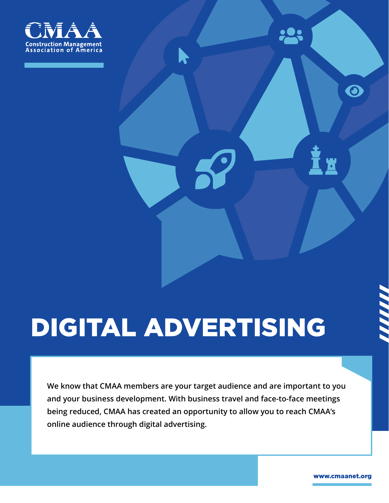

# DIGITAL ADVERTISING

We know that CMAA members are your target audience and are important to you and your business development. With business travel and face-to-face meetings being reduced, CMAA has created an opportunity to allow you to reach CMAA's online audience through digital advertising.

www.cmaanet.org

 $\mathbf{\Theta}$ 

<u>ש</u>

**PORT**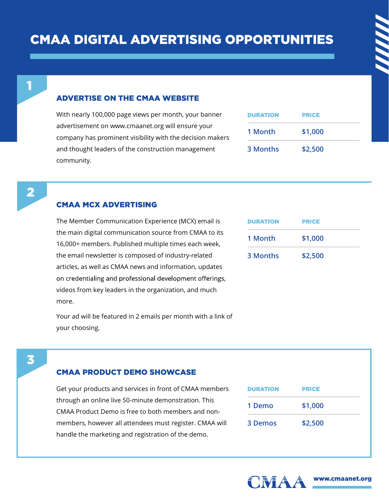#### **ADVERTISE ON THE CMAA WEBSITE**

With nearly 100,000 page views per month, your banner advertisement on www.cmaanet.org will ensure your company has prominent visibility with the decision makers and thought leaders of the construction management community.

| <b>DURATION</b> | <b>PRICE</b> |
|-----------------|--------------|
| 1 Month         | \$1,000      |
| 3 Months        | \$2,500      |

Ĺ

#### **CMAA MCX ADVERTISING**

The Member Communication Experience (MCX) email is the main digital communication source from CMAA to its 16,000+ members. Published multiple times each week, the email newsletter is composed of industry-related articles, as well as CMAA news and information, updates on credentialing and professional development offerings, videos from key leaders in the organization, and much more.

Your ad will be featured in 2 emails per month with a link of your choosing.

| <b>DURATION</b> | PRICE   |
|-----------------|---------|
| 1 Month         | \$1,000 |
| 3 Months        | \$2,500 |

### 3

#### **CMAA PRODUCT DEMO SHOWCASE**

Get your products and services in front of CMAA members through an online live 50-minute demonstration. This CMAA Product Demo is free to both members and nonmembers, however all attendees must register. CMAA will handle the marketing and registration of the demo.

| <b>DURATION</b> | <b>PRICE</b> |
|-----------------|--------------|
| 1 Demo          | \$1,000      |
| 3 Demos         | \$2,500      |



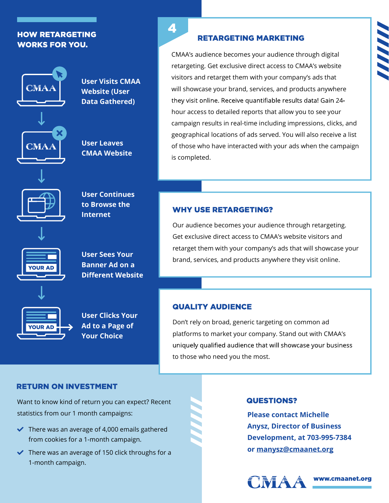#### **HOW RETARGETING WORKS FOR YOU.**



User Visits CMAA Website (User Data Gathered)

User Leaves CMAA Website



User Continues to Browse the Internet



User Sees Your Banner Ad on a **Different Website** 



User Clicks Your Ad to a Page of Your Choice

4

#### **RETARGETING MARKETING**

CMAA's audience becomes your audience through digital retargeting. Get exclusive direct access to CMAA's website visitors and retarget them with your company's ads that will showcase your brand, services, and products anywhere they visit online. Receive quantifiable results data! Gain 24hour access to detailed reports that allow you to see your campaign results in real-time including impressions, clicks, and geographical locations of ads served. You will also receive a list of those who have interacted with your ads when the campaign is completed.

#### **WHY USE RETARGETING?**

Our audience becomes your audience through retargeting. Get exclusive direct access to CMAA's website visitors and retarget them with your company's ads that will showcase your brand, services, and products anywhere they visit online.

#### **QUALITY AUDIENCE**

Don't rely on broad, generic targeting on common ad platforms to market your company. Stand out with CMAA's uniquely qualified audience that will showcase your business to those who need you the most.

#### **RETURN ON INVESTMENT**

Want to know kind of return you can expect? Recent statistics from our 1 month campaigns:

- $\blacktriangleright$  There was an average of 4,000 emails gathered from cookies for a 1-month campaign.
- $\blacktriangleright$  There was an average of 150 click throughs for a 1-month campaign.

#### **QUESTIONS?**

Please contact Michelle Anysz, Director of Business Development, at 703-995-7384 or manysz@cmaanet.org



www.cmaanet.org